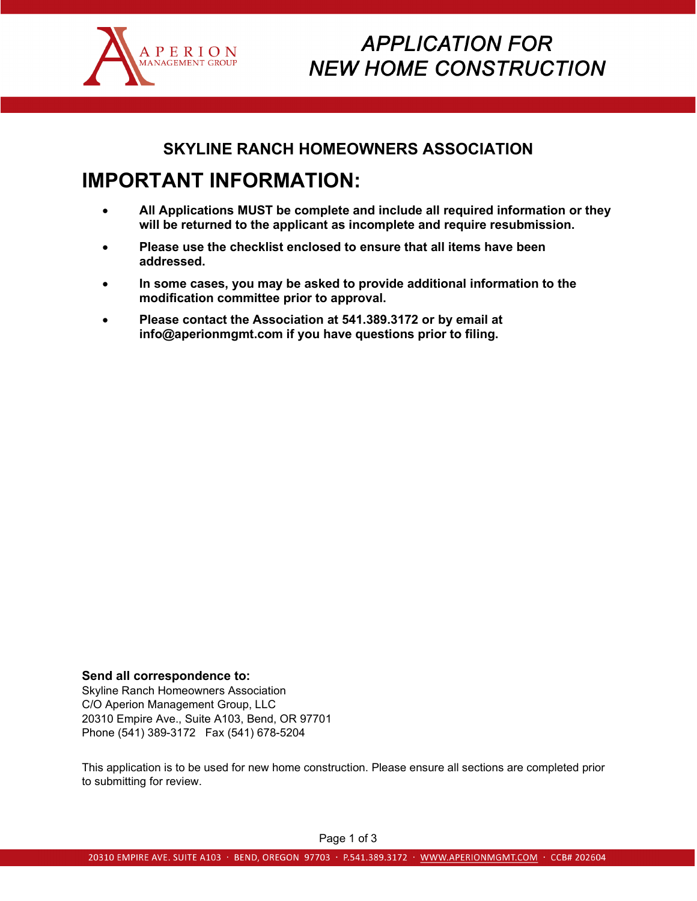

# **APPLICATION FOR NEW HOME CONSTRUCTION**

## **SKYLINE RANCH HOMEOWNERS ASSOCIATION**

# **IMPORTANT INFORMATION:**

- **All Applications MUST be complete and include all required information or they will be returned to the applicant as incomplete and require resubmission.**
- **Please use the checklist enclosed to ensure that all items have been addressed.**
- **In some cases, you may be asked to provide additional information to the modification committee prior to approval.**
- **Please contact the Association at 541.389.3172 or by email at info@aperionmgmt.com if you have questions prior to filing.**

### **Send all correspondence to:**

Skyline Ranch Homeowners Association C/O Aperion Management Group, LLC 20310 Empire Ave., Suite A103, Bend, OR 97701 Phone (541) 389-3172 Fax (541) 678-5204

This application is to be used for new home construction. Please ensure all sections are completed prior to submitting for review.

Page 1 of 3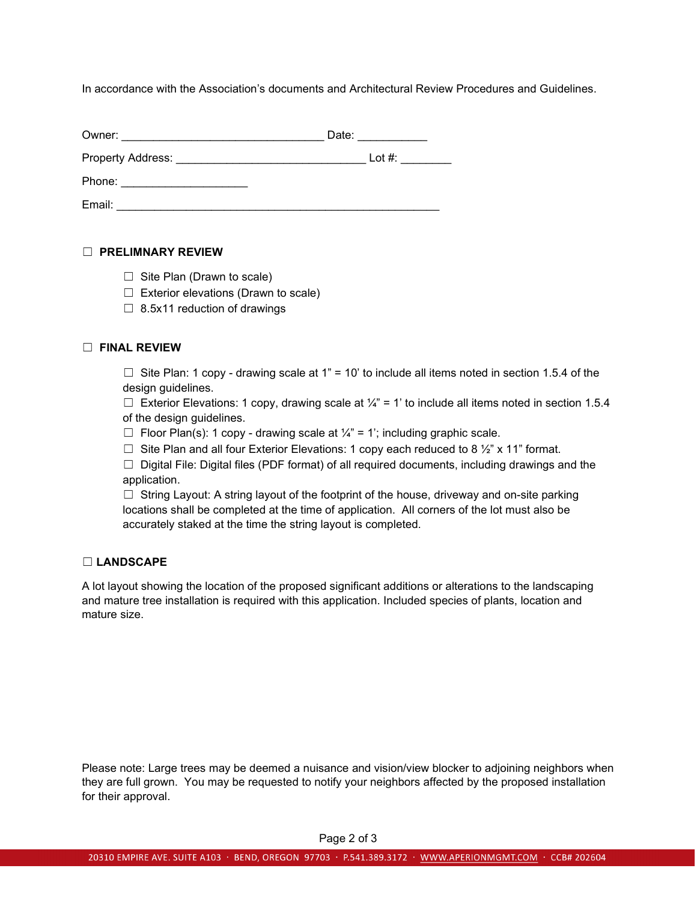In accordance with the Association's documents and Architectural Review Procedures and Guidelines.

| Owner:            | Date:     |
|-------------------|-----------|
| Property Address: | Lot $#$ : |
| Phone:            |           |
| Email:            |           |

### ☐ **PRELIMNARY REVIEW**

- $\Box$  Site Plan (Drawn to scale)
- ☐ Exterior elevations (Drawn to scale)
- $\Box$  8.5x11 reduction of drawings

#### ☐ **FINAL REVIEW**

 $\Box$  Site Plan: 1 copy - drawing scale at 1" = 10' to include all items noted in section 1.5.4 of the design guidelines.

 $\Box$  Exterior Elevations: 1 copy, drawing scale at  $\frac{1}{4}$ " = 1' to include all items noted in section 1.5.4 of the design guidelines.

- $\Box$  Floor Plan(s): 1 copy drawing scale at  $\frac{1}{4}$ " = 1'; including graphic scale.
- □ Site Plan and all four Exterior Elevations: 1 copy each reduced to 8  $\frac{1}{2}$ " x 11" format.

 $\Box$  Digital File: Digital files (PDF format) of all required documents, including drawings and the application.

 $\Box$  String Layout: A string layout of the footprint of the house, driveway and on-site parking locations shall be completed at the time of application. All corners of the lot must also be accurately staked at the time the string layout is completed.

#### ☐ **LANDSCAPE**

A lot layout showing the location of the proposed significant additions or alterations to the landscaping and mature tree installation is required with this application. Included species of plants, location and mature size.

Please note: Large trees may be deemed a nuisance and vision/view blocker to adjoining neighbors when they are full grown. You may be requested to notify your neighbors affected by the proposed installation for their approval.

Page 2 of 3